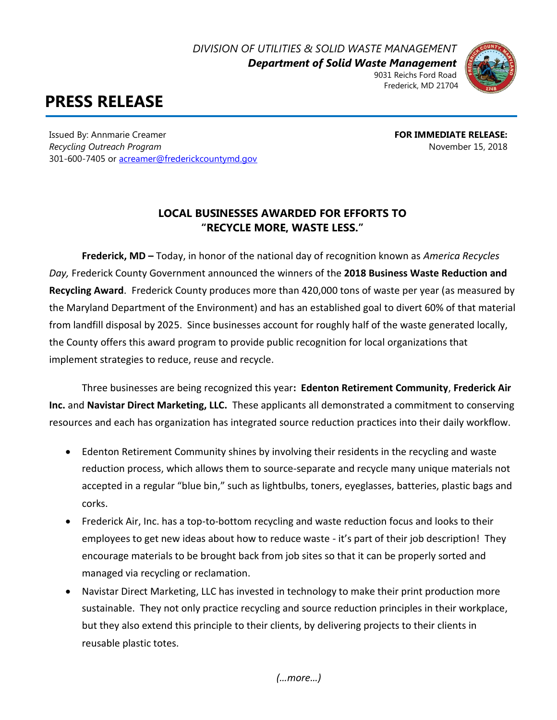*DIVISION OF UTILITIES & SOLID WASTE MANAGEMENT*

*Department of Solid Waste Management* 9031 Reichs Ford Road



## **PRESS RELEASE**

Issued By: Annmarie Creamer **FOR IMMEDIATE RELEASE:** *Recycling Outreach Program* November 15, 2018 301-600-7405 o[r acreamer@frederickcountymd.gov](mailto:acreamer@frederickcountymd.gov)

## **LOCAL BUSINESSES AWARDED FOR EFFORTS TO "RECYCLE MORE, WASTE LESS."**

**Frederick, MD –** Today, in honor of the national day of recognition known as *America Recycles Day,* Frederick County Government announced the winners of the **2018 Business Waste Reduction and Recycling Award**. Frederick County produces more than 420,000 tons of waste per year (as measured by the Maryland Department of the Environment) and has an established goal to divert 60% of that material from landfill disposal by 2025. Since businesses account for roughly half of the waste generated locally, the County offers this award program to provide public recognition for local organizations that implement strategies to reduce, reuse and recycle.

Three businesses are being recognized this year**: Edenton Retirement Community**, **Frederick Air Inc.** and **Navistar Direct Marketing, LLC.** These applicants all demonstrated a commitment to conserving resources and each has organization has integrated source reduction practices into their daily workflow.

- Edenton Retirement Community shines by involving their residents in the recycling and waste reduction process, which allows them to source-separate and recycle many unique materials not accepted in a regular "blue bin," such as lightbulbs, toners, eyeglasses, batteries, plastic bags and corks.
- Frederick Air, Inc. has a top-to-bottom recycling and waste reduction focus and looks to their employees to get new ideas about how to reduce waste - it's part of their job description! They encourage materials to be brought back from job sites so that it can be properly sorted and managed via recycling or reclamation.
- Navistar Direct Marketing, LLC has invested in technology to make their print production more sustainable. They not only practice recycling and source reduction principles in their workplace, but they also extend this principle to their clients, by delivering projects to their clients in reusable plastic totes.

*(…more…)*